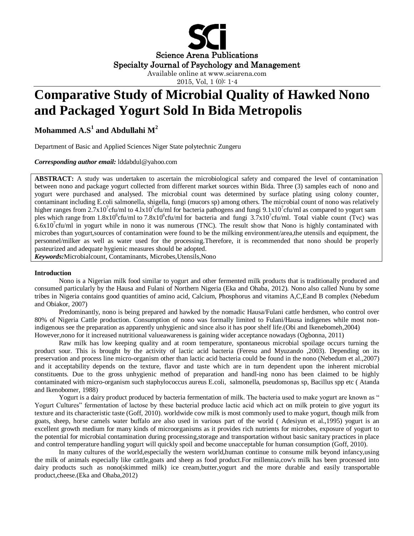

# **Comparative Study of Microbial Quality of Hawked Nono and Packaged Yogurt Sold In Bida Metropolis**

**Mohammed A.S<sup>1</sup> and Abdullahi M<sup>2</sup>**

Department of Basic and Applied Sciences Niger State polytechnic Zungeru

*Corresponding author email:* lddabdul@yahoo.com

**ABSTRACT:** A study was undertaken to ascertain the microbiological safety and compared the level of contamination between nono and package yogurt collected from different market sources within Bida. Three (3) samples each of nono and yogurt were purchased and analysed. The microbial count was determined by surface plating using colony counter, contaminant including E.coli salmonella, shigella, fungi (mucors sp) among others. The microbial count of nono was relatively higher ranges from 2.7x10<sup>7</sup>cfu/ml to 4.lx10<sup>7</sup>cfu/ml for bacteria pathogens and fungi 9.1x10<sup>7</sup>cfu/ml as compared to yogurt sam ples which range from  $1.8x10^6$ cfu/ml to  $7.8x10^6$ cfu/ml for bacteria and fungi  $3.7x10^7$ cfu/ml. Total viable count (Tvc) was  $6.6x10<sup>7</sup>$ cfu/ml in yogurt while in nono it was numerous (TNC). The result show that Nono is highly contaminated with microbes than yogurt,sources of contamination were found to be the milking environment/area,the utensils and equipment, the personnel/milker as well as water used for the processing.Therefore, it is recommended that nono should be properly pasteurized and adequate hygienic measures should be adopted.

*Keywords:*Microbialcount, Contaminants, Microbes,Utensils,Nono

# **Introduction**

Nono is a Nigerian milk food similar to yogurt and other fermented milk products that is traditionally produced and consumed particularly by the Hausa and Fulani of Northern Nigeria (Eka and Ohaba, 2012). Nono also called Nunu by some tribes in Nigeria contains good quantities of amino acid, Calcium, Phosphorus and vitamins A,C,Eand B complex (Nebedum and Obiakor, 2007)

Predominantly, nono is being prepared and hawked by the nomadic Hausa/Fulani cattle herdsmen, who control over 80% of Nigeria Cattle production. Consumption of nono was formally limited to Fulani/Hausa indigenes while most nonindigenous see the preparation as apparently unhygienic and since also it has poor shelf life.(Obi and Ikenebomeh,2004) However,nono for it increased nutritional valueawareness is gaining wider acceptance nowadays (Ogbonna, 2011)

Raw milk has low keeping quality and at room temperature, spontaneous microbial spoilage occurs turning the product sour. This is brought by the activity of lactic acid bacteria (Feresu and Myuzando ,2003). Depending on its preservation and process line micro-organism other than lactic acid bacteria could be found in the nono (Nebedum et al.,2007)

and it acceptability depends on the texture, flavor and taste which are in turn dependent upon the inherent microbial constituents. Due to the gross unhygienic method of preparation and handl-ing nono has been claimed to be highly contaminated with micro-organism such staphylococcus aureus E.coli, salmonella, pseudomonas sp, Bacillus spp etc ( Atanda and Ikenobomer, 1988)

Yogurt is a dairy product produced by bacteria fermentation of milk. The bacteria used to make yogurt are known as " Yogurt Cultures" fermentation of lactose by these bacterial produce lactic acid which act on milk protein to give yogurt its texture and its characteristic taste (Goff, 2010). worldwide cow milk is most commonly used to make yogurt, though milk from goats, sheep, horse camels water buffalo are also used in various part of the world ( Adesiyun et al.,1995) yogurt is an excellent growth medium for many kinds of microorganisms as it provides rich nutrients for microbes, exposure of yogurt to the potential for microbial contamination during processing,storage and transportation without basic sanitary practices in place and control temperature handling yogurt will quickly spoil and become unacceptable for human consumption (Goff, 2010).

In many cultures of the world,especially the western world,human continue to consume milk beyond infancy,using the milk of animals especially like cattle,goats and sheep as food product.For millennia,cow's milk has been processed into dairy products such as nono(skimmed milk) ice cream,butter,yogurt and the more durable and easily transportable product,cheese.(Eka and Ohaba,2012)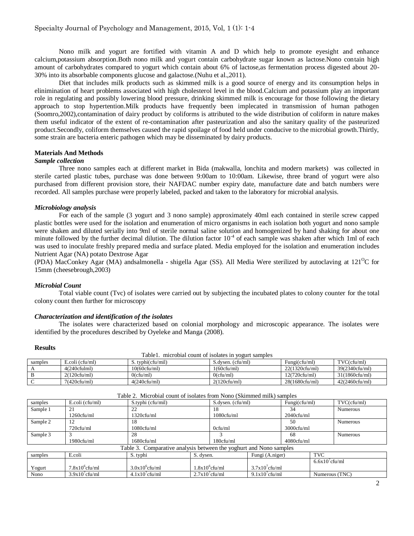Nono milk and yogurt are fortified with vitamin A and D which help to promote eyesight and enhance calcium,potassium absorption.Both nono milk and yogurt contain carbohydrate sugar known as lactose.Nono contain high amount of carbohydrates compared to yogurt which contain about 6% of lactose,as fermentation process digested about 20- 30% into its absorbable components glucose and galactose.(Nuhu et al.,2011).

Diet that includes milk products such as skimmed milk is a good source of energy and its consumption helps in elinimination of heart problems associated with high cholesterol level in the blood.Calcium and potassium play an important role in regulating and possibly lowering blood pressure, drinking skimmed milk is encourage for those following the dietary approach to stop hypertention.Milk products have frequently been implecated in transmission of human pathogen (Soomro,2002),contamination of dairy product by coliforms is attributed to the wide distribution of coliform in nature makes them useful indicator of the extent of re-contamination after pasteurization and also the sanitary quality of the pasteurized product.Secondly, coliform themselves caused the rapid spoilage of food held under conducive to the microbial growth.Thirtly, some strain are bacteria enteric pathogen which may be disseminated by dairy products.

# **Materials And Methods**

### *Sample collection*

Three nono samples each at different market in Bida (makwalla, lonchita and modern markets) was collected in sterile carted plastic tubes, purchase was done between 9:00am to 10:00am. Likewise, three brand of yogurt were also purchased from different provision store, their NAFDAC number expiry date, manufacture date and batch numbers were recorded. All samples purchase were properly labeled, packed and taken to the laboratory for microbial analysis.

# *Microbiology analysis*

For each of the sample (3 yogurt and 3 nono sample) approximately 40ml each contained in sterile screw capped plastic bottles were used for the isolation and enumeration of micro organisms in each isolation both yogurt and nono sample were shaken and diluted serially into 9ml of sterile normal saline solution and homogenized by hand shaking for about one minute followed by the further decimal dilution. The dilution factor  $10^{-4}$  of each sample was shaken after which 1ml of each was used to inoculate freshly prepared media and surface plated. Media employed for the isolation and enumeration includes Nutrient Agar (NA) potato Dextrose Agar

(PDA) MacConkey Agar (MA) andsalmonella - shigella Agar (SS). All Media Were sterilized by autoclaving at  $121^{\circ}$ C for 15mm (cheesebrough,2003)

#### *Microbial Count*

Total viable count (Tvc) of isolates were carried out by subjecting the incubated plates to colony counter for the total colony count then further for microscopy

## *Characterization and identification of the isolates*

The isolates were characterized based on colonial morphology and microscopic appearance. The isolates were identified by the procedures described by Oyeleke and Manga (2008).

#### **Results**

| -------                                                |                          |                   |                   |                |                |  |  |  |  |  |
|--------------------------------------------------------|--------------------------|-------------------|-------------------|----------------|----------------|--|--|--|--|--|
| Table 1. microbial count of isolates in yogurt samples |                          |                   |                   |                |                |  |  |  |  |  |
| samples                                                | $E_{\rm c}$ oli (cfu/ml) | S. typhi(cfu/mil) | S.dysen. (cfu/ml) | Fungi(cfu/ml)  | TVC(cfu/ml)    |  |  |  |  |  |
|                                                        | 4(240cfulml)             | 10(60cfu/ml)      | 1(60cfu/ml)       | 22(1320cfu/ml) | 39(2340cfu/ml) |  |  |  |  |  |
|                                                        | 2(120cfu/ml)             | $0$ (cfu/ml)      | $0$ (cfu/ml)      | 12(720cfu/ml)  | 31(1860cfu/ml) |  |  |  |  |  |
|                                                        | 7(420cfu/ml)             | 4(240cfu/ml)      | 2(120cfu/ml)      | 28(1680cfu/ml) | 42(2460cfu/ml) |  |  |  |  |  |

|          |                   | Table 2. MICTODIAL COULTULE ISOTALES TIONI INORIO (SKITHING HILLK) SAMPLES |                   |                                                  |                   |                   |                   |                 |
|----------|-------------------|----------------------------------------------------------------------------|-------------------|--------------------------------------------------|-------------------|-------------------|-------------------|-----------------|
| samples  | E.coli (cfu/ml)   | S.typhi (cfu/mil)                                                          |                   |                                                  | S.dysen. (cfu/ml) |                   | Fungi(cfu/ml)     | TVC(cfu/ml)     |
| Sample 1 | 21                | 22                                                                         |                   | 18                                               |                   | 34                |                   | <b>Numerous</b> |
|          | 1260cfu/ml        | 1320cfu/ml                                                                 |                   | 1080cfu/ml                                       |                   | $2040$ cfu/ml     |                   |                 |
| Sample 2 | 12                | 18                                                                         |                   |                                                  |                   | 50                |                   | <b>Numerous</b> |
|          | 720cfu/ml         | 1080cfu/ml                                                                 |                   | $0$ cfu/ml                                       |                   | 3000cfu/ml        |                   |                 |
| Sample 3 |                   | 28                                                                         |                   |                                                  |                   | 68                |                   | <b>Numerous</b> |
|          | 1980cfu/ml        | 1680cfu/ml                                                                 |                   | 180cfu/ml                                        |                   | 4080cfu/ml        |                   |                 |
|          |                   | Table 3. Comparative analysis between the yoghurt and Nono samples         |                   |                                                  |                   |                   |                   |                 |
| samples  | E.coli            | S. typhi                                                                   | S. dysen.         | Fungi (A.niger)                                  |                   |                   | <b>TVC</b>        |                 |
|          |                   |                                                                            |                   |                                                  |                   |                   | $6.6x10^7$ cfu/ml |                 |
| Yogurt   | $7.8x10^6$ cfu/ml | $3.0x10^6$ cfu/ml                                                          | $1.8x10^6$ cfu/ml |                                                  |                   | $3.7x10^7$ cfu/ml |                   |                 |
| Nono     | $3.9x10^7$ cfu/ml | $4.1x10$ <sup>7</sup> cfu/ml                                               |                   | $2.7x10$ <sup>7</sup> cfu/ml<br>$9.1x10'$ cfu/ml |                   |                   | Numerous (TNC)    |                 |

Table 2. Microbial count of isolates from Nono (Skimmed milk) samples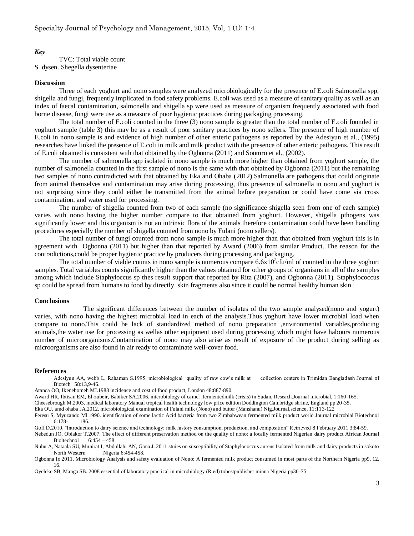# *Key*

TVC: Total viable count S. dysen. Shegella dysenteriae

#### **Discussion**

Three of each yoghurt and nono samples were analyzed microbiologically for the presence of E.coli Salmonella spp, shigella and fungi, frequently implicated in food safety problems. E.coli was used as a measure of sanitary quality as well as an index of faecal contamination, salmonella and shigella sp were used as measure of organism frequently associated with food borne disease, fungi were use as a measure of poor hygienic practices during packaging processing.

The total number of E.coli counted in the three (3) nono sample is greater than the total number of E.coli founded in yoghurt sample (table 3) this may be as a result of poor sanitary practices by nono sellers. The presence of high number of E.coli in nono sample is and evidence of high number of other enteric pathogens as reported by the Adesiyun et al., (1995) researches have linked the presence of E.coli in milk and milk product with the presence of other enteric pathogens. This result of E.coli obtained is consistent with that obtained by the Ogbonna (2011) and Soomro et al., (2002).

The number of salmonella spp isolated in nono sample is much more higher than obtained from yoghurt sample, the number of salmonella counted in the first sample of nono is the same with that obtained by Ogbonna (2011) but the remaining two samples of nono contradicted with that obtained by Eka and Ohaba (2012**)**.Salmonella are pathogens that could originate from animal themselves and contamination may arise during processing, thus presence of salmonella in nono and yoghurt is not surprising since they could either be transmitted from the animal before preparation or could have come via cross contamination, and water used for processing.

The number of shigella counted from two of each sample (no significance shigella seen from one of each sample) varies with nono having the higher number compare to that obtained from yoghurt. However, shigella pthogens was significantly lower and this organism is not an intrinsic flora of the animals therefore contamination could have been handling procedures especially the number of shigella counted from nono by Fulani (nono sellers).

The total number of fungi counted from nono sample is much more higher than that obtained from yoghurt this is in agreement with Ogbonna (2011) but higher than that reported by Award (2006) from similar Product. The reason for the contradictions,could be proper hygienic practice by producers during processing and packaging.

The total number of viable counts in nono sample is numerous compare  $6.6 \times 10^7$  cfu/ml of counted in the three yoghurt samples. Total variables counts significantly higher than the values obtained for other groups of organisms in all of the samples among which include Staphyloccus sp thes result support that reported by Rita (2007), and Ogbonna (2011). Staphylococcus sp could be spread from humans to food by directly skin fragments also since it could be normal healthy human skin

#### **Conclusions**

The significant differences between the number of isolates of the two sample analysed(nono and yogurt) varies, with nono having the highest microbial load in each of the analysis.Thus yoghurt have lower microbial load when compare to nono.This could be lack of standardized method of nono preparation ,environmental variables,producing animals,the water use for processing as wellas other equipment used during processing which might have habours numerous number of microorganisms.Contamination of nono may also arise as result of exposure of the product during selling as microorganisms are also found in air ready to contaminate well-cover food.

#### **References**

Adesiyun AA, webb L, Rahaman S.1995. microbiological quality of raw cow's milk at collection centers in Trimidan Bangladash Journal of Biotech 58:13,9-46.

Atanda OO, Ikenebomeh MJ.1988 incidence and cost of food product, London 48:887-890

Award HR, Ibtisan EM, El-zubeir, Babiker SA.2006. microbiology of camel ,fermentedmilk (crisis) in Sudan, Reseach.Journal microbial, 1:160-165.

Cheesebrough M.2003. medical laboratory Manual tropical health technology low price edition Doddington Cambridge shrine, England pp 20-35.

Eka OU, amd ohaba JA.2012. microbiological examination of Fulani milk (Nono) and butter (Manshanu) Nig.Journal.science, 11:113-122

Feresu S, Myuzando Ml.1990. identification of some lactic Acid bacteria from two Zimbabwean fermented milk product world Journal microbial Biotechnol 6:178- 186.

Goff D.2010. ''Introduction to dairy science and technology: milk history consumption, production, and composition" Retrieved 8 February 2011 3:84-59.

Nebedun JO, Obiakor T.2007. The effect of different preservation method on the quality of nono: a locally fermented Nigerian dairy product African Journal Bioltechnol 6:454 – 458

Nuhu A, Nataala SU, Munirat I, Abdullahi AN, Gana J. 2011.stuies on susceptibility of Staphylococcus aureus Isolated from milk and dairy products in sokoto North Western Nigeria 6:454-458.

Ogbonna Io.2011. Microbiology Analysis and safety evaluation of Nono; A fermented milk product consumed in most parts of the Northern Nigeria pp9, 12, 16.

Oyeleke SB, Manga SB. 2008 essential of laboratory practical in microbiology (R.ed) tobestpublisher minna Nigeria pp36 -75.